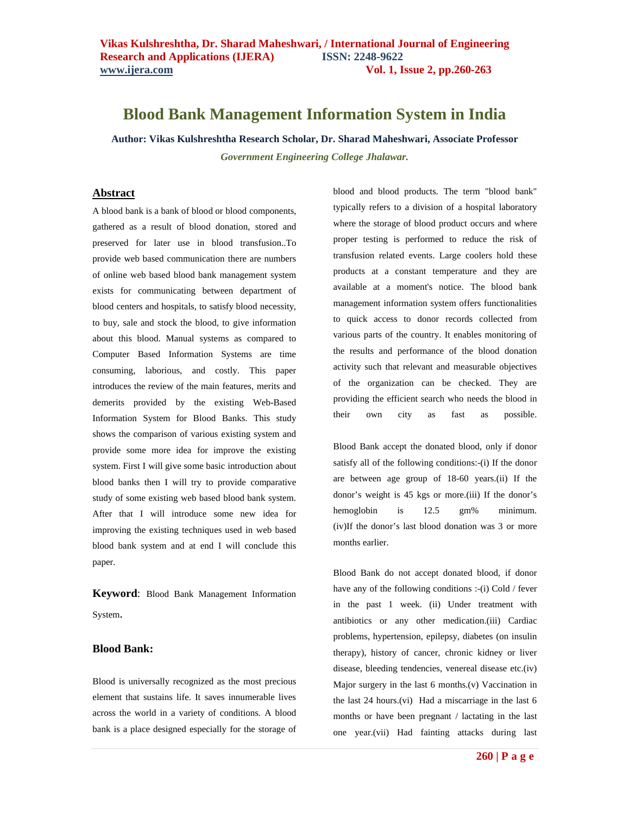## **Blood Bank Management Information System in India**

**Author: Vikas Kulshreshtha Research Scholar, Dr. Sharad Maheshwari, Associate Professor** *Government Engineering College Jhalawar.*

#### **Abstract**

A blood bank is a bank of blood or blood components, gathered as a result of blood donation, stored and preserved for later use in blood transfusion..To provide web based communication there are numbers of online web based blood bank management system exists for communicating between department of blood centers and hospitals, to satisfy blood necessity, to buy, sale and stock the blood, to give information about this blood. Manual systems as compared to Computer Based Information Systems are time consuming, laborious, and costly. This paper introduces the review of the main features, merits and demerits provided by the existing Web-Based Information System for Blood Banks. This study shows the comparison of various existing system and provide some more idea for improve the existing system. First I will give some basic introduction about blood banks then I will try to provide comparative study of some existing web based blood bank system. After that I will introduce some new idea for improving the existing techniques used in web based blood bank system and at end I will conclude this paper.

**Keyword**: Blood Bank Management Information System.

#### **Blood Bank:**

Blood is universally recognized as the most precious element that sustains life. It saves innumerable lives across the world in a variety of conditions. A blood bank is a place designed especially for the storage of blood and blood products. The term "blood bank" typically refers to a division of a hospital laboratory where the storage of blood product occurs and where proper testing is performed to reduce the risk of transfusion related events. Large coolers hold these products at a constant temperature and they are available at a moment's notice. The blood bank management information system offers functionalities to quick access to donor records collected from various parts of the country. It enables monitoring of the results and performance of the blood donation activity such that relevant and measurable objectives of the organization can be checked. They are providing the efficient search who needs the blood in their own city as fast as possible.

Blood Bank accept the donated blood, only if donor satisfy all of the following conditions:-(i) If the donor are between age group of 18-60 years.(ii) If the donor's weight is 45 kgs or more.(iii) If the donor's hemoglobin is 12.5 gm% minimum. (iv)If the donor's last blood donation was 3 or more months earlier.

Blood Bank do not accept donated blood, if donor have any of the following conditions :-(i) Cold / fever in the past 1 week. (ii) Under treatment with antibiotics or any other medication.(iii) Cardiac problems, hypertension, epilepsy, diabetes (on insulin therapy), history of cancer, chronic kidney or liver disease, bleeding tendencies, venereal disease etc.(iv) Major surgery in the last 6 months.(v) Vaccination in the last 24 hours.(vi) Had a miscarriage in the last 6 months or have been pregnant / lactating in the last one year.(vii) Had fainting attacks during last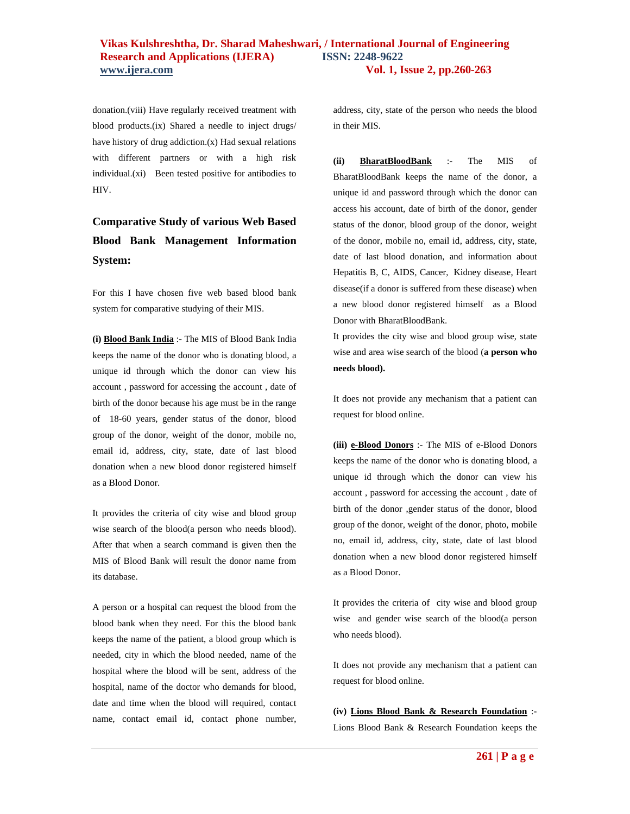### **Vikas Kulshreshtha, Dr. Sharad Maheshwari, / International Journal of Engineering Research and Applications (IJERA) ISSN: 2248-9622 www.ijera.com Vol. 1, Issue 2, pp.260-263**

donation.(viii) Have regularly received treatment with blood products.(ix) Shared a needle to inject drugs/ have history of drug addiction.(x) Had sexual relations with different partners or with a high risk individual.(xi) Been tested positive for antibodies to HIV.

# **Comparative Study of various Web Based Blood Bank Management Information System:**

For this I have chosen five web based blood bank system for comparative studying of their MIS.

**(i) Blood Bank India** :- The MIS of Blood Bank India keeps the name of the donor who is donating blood, a unique id through which the donor can view his account , password for accessing the account , date of birth of the donor because his age must be in the range of 18-60 years, gender status of the donor, blood group of the donor, weight of the donor, mobile no, email id, address, city, state, date of last blood donation when a new blood donor registered himself as a Blood Donor.

It provides the criteria of city wise and blood group wise search of the blood(a person who needs blood). After that when a search command is given then the MIS of Blood Bank will result the donor name from its database.

A person or a hospital can request the blood from the blood bank when they need. For this the blood bank keeps the name of the patient, a blood group which is needed, city in which the blood needed, name of the hospital where the blood will be sent, address of the hospital, name of the doctor who demands for blood, date and time when the blood will required, contact name, contact email id, contact phone number, address, city, state of the person who needs the blood in their MIS.

**(ii) BharatBloodBank** :- The MIS of BharatBloodBank keeps the name of the donor, a unique id and password through which the donor can access his account, date of birth of the donor, gender status of the donor, blood group of the donor, weight of the donor, mobile no, email id, address, city, state, date of last blood donation, and information about Hepatitis B, C, AIDS, Cancer, Kidney disease, Heart disease(if a donor is suffered from these disease) when a new blood donor registered himself as a Blood Donor with BharatBloodBank.

It provides the city wise and blood group wise, state wise and area wise search of the blood (**a person who needs blood).**

It does not provide any mechanism that a patient can request for blood online.

**(iii) e-Blood Donors** :- The MIS of e-Blood Donors keeps the name of the donor who is donating blood, a unique id through which the donor can view his account , password for accessing the account , date of birth of the donor ,gender status of the donor, blood group of the donor, weight of the donor, photo, mobile no, email id, address, city, state, date of last blood donation when a new blood donor registered himself as a Blood Donor.

It provides the criteria of city wise and blood group wise and gender wise search of the blood(a person who needs blood).

It does not provide any mechanism that a patient can request for blood online.

**(iv) Lions Blood Bank & Research Foundation** :- Lions Blood Bank & Research Foundation keeps the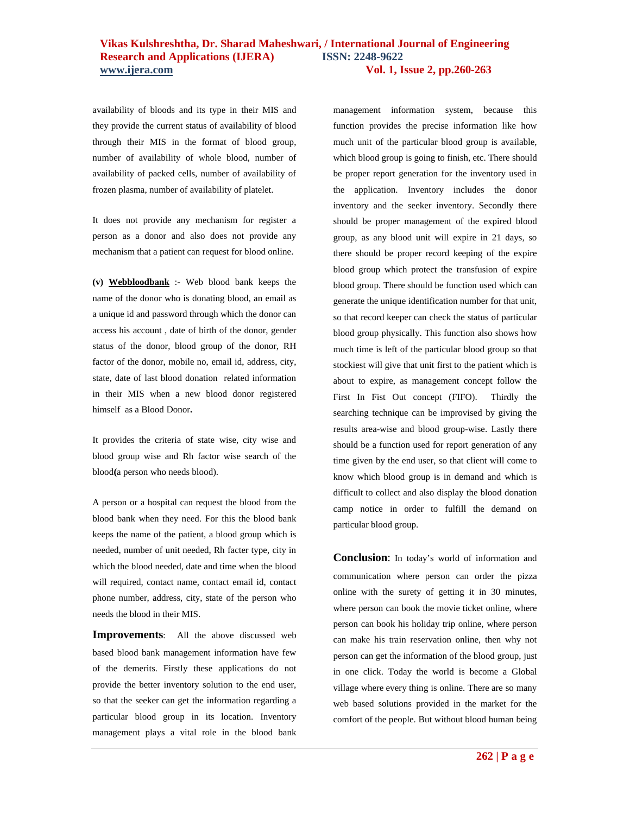#### **Vikas Kulshreshtha, Dr. Sharad Maheshwari, / International Journal of Engineering Research and Applications (IJERA) ISSN: 2248-9622 www.ijera.com Vol. 1, Issue 2, pp.260-263**

availability of bloods and its type in their MIS and they provide the current status of availability of blood through their MIS in the format of blood group, number of availability of whole blood, number of availability of packed cells, number of availability of frozen plasma, number of availability of platelet.

It does not provide any mechanism for register a person as a donor and also does not provide any mechanism that a patient can request for blood online.

**(v) Webbloodbank** :- Web blood bank keeps the name of the donor who is donating blood, an email as a unique id and password through which the donor can access his account , date of birth of the donor, gender status of the donor, blood group of the donor, RH factor of the donor, mobile no, email id, address, city, state, date of last blood donation related information in their MIS when a new blood donor registered himselfas a Blood Donor**.**

It provides the criteria of state wise, city wise and blood group wise and Rh factor wise search of the blood**(**a person who needs blood).

A person or a hospital can request the blood from the blood bank when they need. For this the blood bank keeps the name of the patient, a blood group which is needed, number of unit needed, Rh facter type, city in which the blood needed, date and time when the blood will required, contact name, contact email id, contact phone number, address, city, state of the person who needs the blood in their MIS.

**Improvements**: All the above discussed web based blood bank management information have few of the demerits. Firstly these applications do not provide the better inventory solution to the end user, so that the seeker can get the information regarding a particular blood group in its location. Inventory management plays a vital role in the blood bank

management information system, because this function provides the precise information like how much unit of the particular blood group is available, which blood group is going to finish, etc. There should be proper report generation for the inventory used in the application. Inventory includes the donor inventory and the seeker inventory. Secondly there should be proper management of the expired blood group, as any blood unit will expire in 21 days, so there should be proper record keeping of the expire blood group which protect the transfusion of expire blood group. There should be function used which can generate the unique identification number for that unit, so that record keeper can check the status of particular blood group physically. This function also shows how much time is left of the particular blood group so that stockiest will give that unit first to the patient which is about to expire, as management concept follow the First In Fist Out concept (FIFO). Thirdly the searching technique can be improvised by giving the results area-wise and blood group-wise. Lastly there should be a function used for report generation of any time given by the end user, so that client will come to know which blood group is in demand and which is difficult to collect and also display the blood donation camp notice in order to fulfill the demand on particular blood group.

**Conclusion**: In today's world of information and communication where person can order the pizza online with the surety of getting it in 30 minutes, where person can book the movie ticket online, where person can book his holiday trip online, where person can make his train reservation online, then why not person can get the information of the blood group, just in one click. Today the world is become a Global village where every thing is online. There are so many web based solutions provided in the market for the comfort of the people. But without blood human being